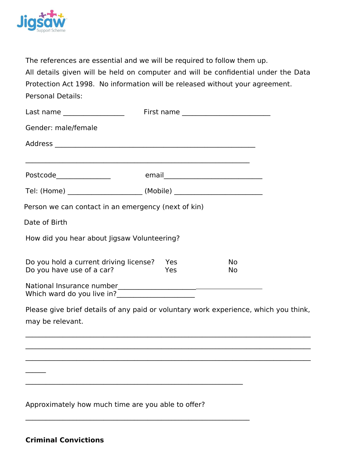

The references are essential and we will be required to follow them up. All details given will be held on computer and will be confidential under the Data Protection Act 1998. No information will be released without your agreement. Personal Details:

| Last name _________________                                                          | First name _________________________ |           |  |
|--------------------------------------------------------------------------------------|--------------------------------------|-----------|--|
| Gender: male/female                                                                  |                                      |           |  |
|                                                                                      |                                      |           |  |
|                                                                                      |                                      |           |  |
|                                                                                      |                                      |           |  |
|                                                                                      |                                      |           |  |
| Person we can contact in an emergency (next of kin)                                  |                                      |           |  |
| Date of Birth                                                                        |                                      |           |  |
| How did you hear about Jigsaw Volunteering?                                          |                                      |           |  |
|                                                                                      | Yes                                  | <b>No</b> |  |
| Do you hold a current driving license?<br>Do you have use of a car?                  | Yes                                  | No        |  |
|                                                                                      |                                      |           |  |
| Please give brief details of any paid or voluntary work experience, which you think, |                                      |           |  |

 $\mathcal{L}_\mathcal{L} = \mathcal{L}_\mathcal{L} = \mathcal{L}_\mathcal{L} = \mathcal{L}_\mathcal{L} = \mathcal{L}_\mathcal{L} = \mathcal{L}_\mathcal{L} = \mathcal{L}_\mathcal{L} = \mathcal{L}_\mathcal{L} = \mathcal{L}_\mathcal{L} = \mathcal{L}_\mathcal{L} = \mathcal{L}_\mathcal{L} = \mathcal{L}_\mathcal{L} = \mathcal{L}_\mathcal{L} = \mathcal{L}_\mathcal{L} = \mathcal{L}_\mathcal{L} = \mathcal{L}_\mathcal{L} = \mathcal{L}_\mathcal{L}$ 

 $\mathcal{L}_\mathcal{L} = \mathcal{L}_\mathcal{L} = \mathcal{L}_\mathcal{L} = \mathcal{L}_\mathcal{L} = \mathcal{L}_\mathcal{L} = \mathcal{L}_\mathcal{L} = \mathcal{L}_\mathcal{L} = \mathcal{L}_\mathcal{L} = \mathcal{L}_\mathcal{L} = \mathcal{L}_\mathcal{L} = \mathcal{L}_\mathcal{L} = \mathcal{L}_\mathcal{L} = \mathcal{L}_\mathcal{L} = \mathcal{L}_\mathcal{L} = \mathcal{L}_\mathcal{L} = \mathcal{L}_\mathcal{L} = \mathcal{L}_\mathcal{L}$ 

\_\_\_\_\_\_\_\_\_\_\_\_\_\_\_\_\_\_\_\_\_\_\_\_\_\_\_\_\_\_\_\_\_\_\_\_\_\_\_\_\_\_\_\_\_\_\_\_\_\_\_\_\_\_\_\_\_\_\_\_\_\_\_\_\_\_\_\_\_\_\_\_\_\_\_\_\_\_\_\_\_\_\_\_

may be relevant.

Approximately how much time are you able to offer?

 $\mathcal{L}_\text{max} = \mathcal{L}_\text{max} = \mathcal{L}_\text{max} = \mathcal{L}_\text{max} = \mathcal{L}_\text{max} = \mathcal{L}_\text{max} = \mathcal{L}_\text{max} = \mathcal{L}_\text{max} = \mathcal{L}_\text{max} = \mathcal{L}_\text{max} = \mathcal{L}_\text{max} = \mathcal{L}_\text{max} = \mathcal{L}_\text{max} = \mathcal{L}_\text{max} = \mathcal{L}_\text{max} = \mathcal{L}_\text{max} = \mathcal{L}_\text{max} = \mathcal{L}_\text{max} = \mathcal{$ 

 $\mathcal{L}_\text{max} = \mathcal{L}_\text{max} = \mathcal{L}_\text{max} = \mathcal{L}_\text{max} = \mathcal{L}_\text{max} = \mathcal{L}_\text{max} = \mathcal{L}_\text{max} = \mathcal{L}_\text{max} = \mathcal{L}_\text{max} = \mathcal{L}_\text{max} = \mathcal{L}_\text{max} = \mathcal{L}_\text{max} = \mathcal{L}_\text{max} = \mathcal{L}_\text{max} = \mathcal{L}_\text{max} = \mathcal{L}_\text{max} = \mathcal{L}_\text{max} = \mathcal{L}_\text{max} = \mathcal{$ 

| <b>Criminal Convictions</b> |  |
|-----------------------------|--|
|                             |  |

 $\frac{1}{2}$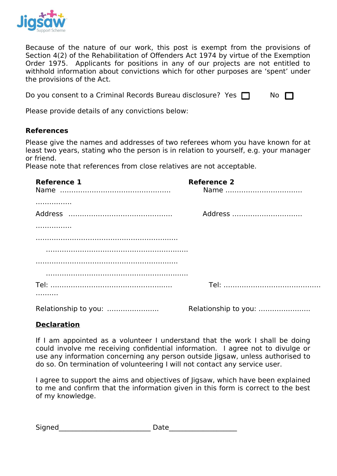

Because of the nature of our work, this post is exempt from the provisions of Section 4(2) of the Rehabilitation of Offenders Act 1974 by virtue of the Exemption Order 1975. Applicants for positions in any of our projects are not entitled to withhold information about convictions which for other purposes are 'spent' under the provisions of the Act.

| Do you consent to a Criminal Records Bureau disclosure? Yes $\Box$ |  | No $\Box$ |
|--------------------------------------------------------------------|--|-----------|
|--------------------------------------------------------------------|--|-----------|

Please provide details of any convictions below:

## **References**

Please give the names and addresses of two referees whom you have known for at least two years, stating who the person is in relation to yourself, e.g. your manager or friend.

Please note that references from close relatives are not acceptable.

| <b>Reference 1</b> | <b>Reference 2</b> |  |  |  |  |
|--------------------|--------------------|--|--|--|--|
|                    |                    |  |  |  |  |
|                    |                    |  |  |  |  |
|                    | Address            |  |  |  |  |
|                    |                    |  |  |  |  |
|                    |                    |  |  |  |  |
|                    |                    |  |  |  |  |
|                    |                    |  |  |  |  |
|                    |                    |  |  |  |  |
|                    |                    |  |  |  |  |
|                    |                    |  |  |  |  |
|                    |                    |  |  |  |  |

## **Declaration**

If I am appointed as a volunteer I understand that the work I shall be doing could involve me receiving confidential information. I agree not to divulge or use any information concerning any person outside Jigsaw, unless authorised to do so. On termination of volunteering I will not contact any service user.

I agree to support the aims and objectives of Jigsaw, which have been explained to me and confirm that the information given in this form is correct to the best of my knowledge.

| Signed | Date |
|--------|------|
|        |      |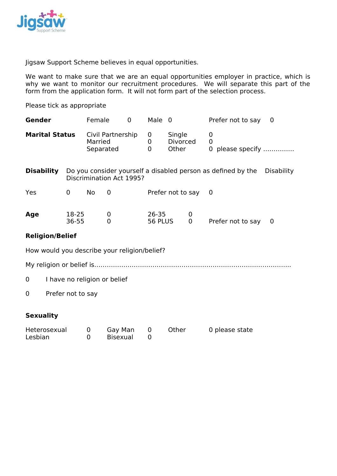

Jigsaw Support Scheme believes in equal opportunities.

We want to make sure that we are an equal opportunities employer in practice, which is why we want to monitor our recruitment procedures. We will separate this part of the form from the application form. It will not form part of the selection process.

Please tick as appropriate

| Gender                                       |                                                                                          | Female                                    |                     | Male 0<br>0                                 |             |                                    |  |                   | Prefer not to say | $\Omega$ |
|----------------------------------------------|------------------------------------------------------------------------------------------|-------------------------------------------|---------------------|---------------------------------------------|-------------|------------------------------------|--|-------------------|-------------------|----------|
| <b>Marital Status</b>                        |                                                                                          | Civil Partnership<br>Married<br>Separated |                     |                                             | 0<br>0<br>0 | Single<br><b>Divorced</b><br>Other |  | 0<br>0<br>0       | please specify    |          |
| <b>Disability</b>                            | Do you consider yourself a disabled person as defined by the<br>Discrimination Act 1995? |                                           |                     |                                             |             |                                    |  | <b>Disability</b> |                   |          |
| Yes                                          | $\mathbf 0$<br>No<br>Prefer not to say<br>0                                              |                                           |                     | 0                                           |             |                                    |  |                   |                   |          |
| Age                                          | 18-25<br>36-55                                                                           |                                           | 0<br>$\overline{0}$ | $26 - 35$<br>0<br>56 PLUS<br>$\overline{0}$ |             |                                    |  | Prefer not to say | 0                 |          |
| <b>Religion/Belief</b>                       |                                                                                          |                                           |                     |                                             |             |                                    |  |                   |                   |          |
| How would you describe your religion/belief? |                                                                                          |                                           |                     |                                             |             |                                    |  |                   |                   |          |
|                                              |                                                                                          |                                           |                     |                                             |             |                                    |  |                   |                   |          |
| 0                                            | I have no religion or belief                                                             |                                           |                     |                                             |             |                                    |  |                   |                   |          |
| 0                                            | Prefer not to say                                                                        |                                           |                     |                                             |             |                                    |  |                   |                   |          |

### **Sexuality**

| Heterosexual | Gay Man  | Other | 0 please state |
|--------------|----------|-------|----------------|
| Lesbian      | Bisexual |       |                |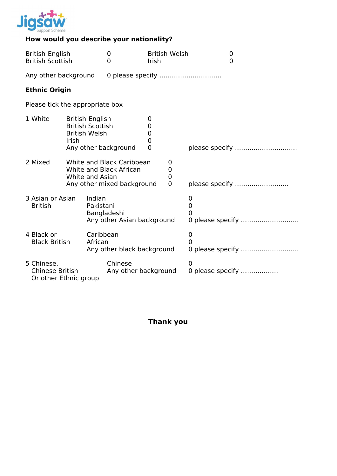

# **How would you describe your nationality?**

| <b>British English</b><br><b>British Scottish</b>                                                                |                                                                                                                       | $\mathbf 0$<br>0                | Irish                      | <b>British Welsh</b>                                           | $\boldsymbol{0}$<br>0      |                                              |                |  |
|------------------------------------------------------------------------------------------------------------------|-----------------------------------------------------------------------------------------------------------------------|---------------------------------|----------------------------|----------------------------------------------------------------|----------------------------|----------------------------------------------|----------------|--|
| Any other background                                                                                             |                                                                                                                       | 0 please specify                |                            |                                                                |                            |                                              |                |  |
|                                                                                                                  | <b>Ethnic Origin</b>                                                                                                  |                                 |                            |                                                                |                            |                                              |                |  |
|                                                                                                                  | Please tick the appropriate box                                                                                       |                                 |                            |                                                                |                            |                                              |                |  |
|                                                                                                                  | 1 White<br><b>British English</b><br><b>British Scottish</b><br><b>British Welsh</b><br>Irish<br>Any other background |                                 |                            | 0<br>0<br>$\boldsymbol{0}$<br>$\overline{0}$<br>$\overline{0}$ |                            | please specify                               |                |  |
| 2 Mixed<br>White and Black Caribbean<br>White and Black African<br>White and Asian<br>Any other mixed background |                                                                                                                       |                                 |                            |                                                                |                            | 0<br>$\mathbf 0$<br>$\mathbf 0$<br>$\Omega$  | please specify |  |
| 3 Asian or Asian<br>Indian<br><b>British</b><br>Pakistani<br>Bangladeshi                                         |                                                                                                                       |                                 | Any other Asian background |                                                                |                            | 0<br>$\overline{0}$<br>O<br>0 please specify |                |  |
| 4 Black or<br>Caribbean<br><b>Black British</b><br>African                                                       |                                                                                                                       | Any other black background      |                            |                                                                | 0<br>0<br>0 please specify |                                              |                |  |
| 5 Chinese,<br>Chinese British<br>Or other Ethnic group                                                           |                                                                                                                       | Chinese<br>Any other background |                            |                                                                | 0<br>0 please specify      |                                              |                |  |

**Thank you**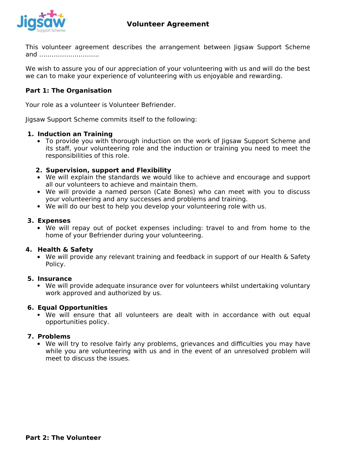

This volunteer agreement describes the arrangement between Jigsaw Support Scheme and ………………………..

We wish to assure you of our appreciation of your volunteering with us and will do the best we can to make your experience of volunteering with us enjoyable and rewarding.

## **Part 1: The Organisation**

Your role as a volunteer is Volunteer Befriender.

Jigsaw Support Scheme commits itself to the following:

#### **1. Induction an Training**

• To provide you with thorough induction on the work of Jigsaw Support Scheme and its staff, your volunteering role and the induction or training you need to meet the responsibilities of this role.

#### **2. Supervision, support and Flexibility**

- We will explain the standards we would like to achieve and encourage and support all our volunteers to achieve and maintain them.
- We will provide a named person (Cate Bones) who can meet with you to discuss your volunteering and any successes and problems and training.
- We will do our best to help you develop your volunteering role with us.

#### **3. Expenses**

 We will repay out of pocket expenses including: travel to and from home to the home of your Befriender during your volunteering.

#### **4. Health & Safety**

 We will provide any relevant training and feedback in support of our Health & Safety Policy.

#### **5. Insurance**

 We will provide adequate insurance over for volunteers whilst undertaking voluntary work approved and authorized by us.

#### **6. Equal Opportunities**

 We will ensure that all volunteers are dealt with in accordance with out equal opportunities policy.

#### **7. Problems**

 We will try to resolve fairly any problems, grievances and difficulties you may have while you are volunteering with us and in the event of an unresolved problem will meet to discuss the issues.